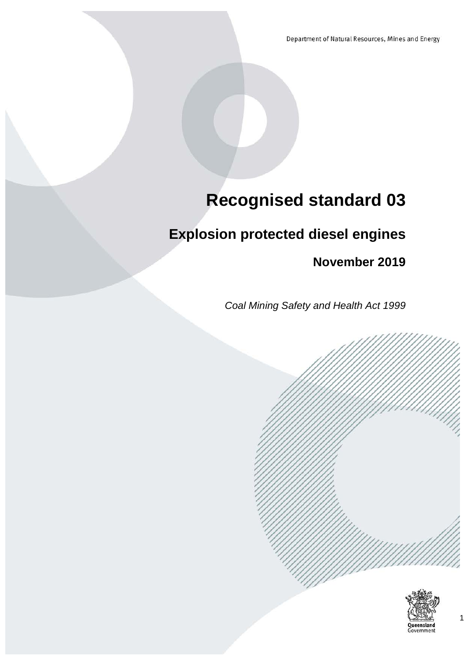Department of Natural Resources, Mines and Energy

# **Recognised standard 03**

# **Explosion protected diesel engines**

**November 2019**

*Coal Mining Safety and Health Act 1999*



Government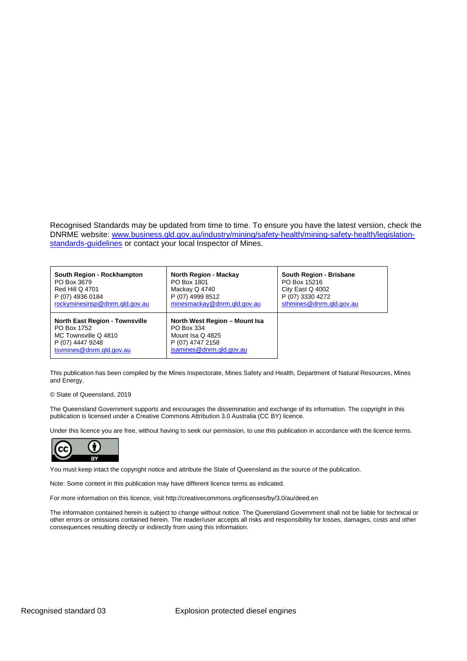Recognised Standards may be updated from time to time. To ensure you have the latest version, check the DNRME website: [www.business.qld.gov.au/industry/mining/safety-health/mining-safety-health/legislation](http://www.business.qld.gov.au/industry/mining/safety-health/mining-safety-health/legislation-standards-guidelines)[standards-guidelines](http://www.business.qld.gov.au/industry/mining/safety-health/mining-safety-health/legislation-standards-guidelines) or contact your local Inspector of Mines.

| South Region - Rockhampton                                                                                                   | <b>North Region - Mackay</b>                                                                                    | South Region - Brisbane  |
|------------------------------------------------------------------------------------------------------------------------------|-----------------------------------------------------------------------------------------------------------------|--------------------------|
| PO Box 3679                                                                                                                  | PO Box 1801                                                                                                     | PO Box 15216             |
| <b>Red Hill Q 4701</b>                                                                                                       | Mackay Q 4740                                                                                                   | City East Q 4002         |
| P (07) 4936 0184                                                                                                             | P (07) 4999 8512                                                                                                | P (07) 3330 4272         |
| rockyminesinsp@dnrm.gld.gov.au                                                                                               | minesmackay@dnrm.gld.gov.au                                                                                     | sthmines@dnrm.gld.gov.au |
| <b>North East Region - Townsville</b><br>PO Box 1752<br>MC Townsville Q 4810<br>P (07) 4447 9248<br>tsymines@dnrm.gld.gov.au | North West Region - Mount Isa<br>PO Box 334<br>Mount Isa Q 4825<br>P (07) 4747 2158<br>isamines@dnrm.gld.gov.au |                          |

This publication has been compiled by the Mines Inspectorate, Mines Safety and Health, Department of Natural Resources, Mines and Energy.

#### © State of Queensland, 2019

The Queensland Government supports and encourages the dissemination and exchange of its information. The copyright in this publication is licensed under a Creative Commons Attribution 3.0 Australia (CC BY) licence.

Under this licence you are free, without having to seek our permission, to use this publication in accordance with the licence terms.



You must keep intact the copyright notice and attribute the State of Queensland as the source of the publication.

Note: Some content in this publication may have different licence terms as indicated.

For more information on this licence, visit http://creativecommons.org/licenses/by/3.0/au/deed.en

The information contained herein is subject to change without notice. The Queensland Government shall not be liable for technical or other errors or omissions contained herein. The reader/user accepts all risks and responsibility for losses, damages, costs and other consequences resulting directly or indirectly from using this information.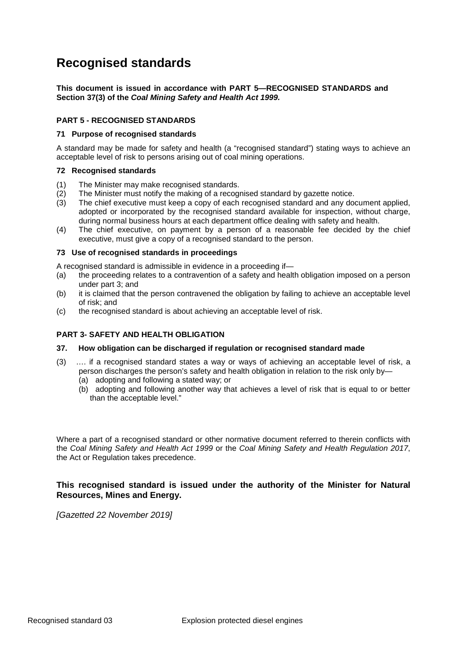# **Recognised standards**

**This document is issued in accordance with PART 5—RECOGNISED STANDARDS and Section 37(3) of the** *Coal Mining Safety and Health Act 1999.*

### **PART 5 - RECOGNISED STANDARDS**

#### **71 Purpose of recognised standards**

A standard may be made for safety and health (a "recognised standard") stating ways to achieve an acceptable level of risk to persons arising out of coal mining operations.

### **72 Recognised standards**

- (1) The Minister may make recognised standards.
- (2) The Minister must notify the making of a recognised standard by gazette notice.
- (3) The chief executive must keep a copy of each recognised standard and any document applied, adopted or incorporated by the recognised standard available for inspection, without charge, during normal business hours at each department office dealing with safety and health.
- (4) The chief executive, on payment by a person of a reasonable fee decided by the chief executive, must give a copy of a recognised standard to the person.

#### **73 Use of recognised standards in proceedings**

A recognised standard is admissible in evidence in a proceeding if—

- (a) the proceeding relates to a contravention of a safety and health obligation imposed on a person under part 3; and
- (b) it is claimed that the person contravened the obligation by failing to achieve an acceptable level of risk; and
- (c) the recognised standard is about achieving an acceptable level of risk.

### **PART 3- SAFETY AND HEALTH OBLIGATION**

#### **37. How obligation can be discharged if regulation or recognised standard made**

- (3) …. if a recognised standard states a way or ways of achieving an acceptable level of risk, a person discharges the person's safety and health obligation in relation to the risk only by—
	- (a) adopting and following a stated way; or
	- (b) adopting and following another way that achieves a level of risk that is equal to or better than the acceptable level."

Where a part of a recognised standard or other normative document referred to therein conflicts with the *Coal Mining Safety and Health Act 1999* or the *Coal Mining Safety and Health Regulation 2017*, the Act or Regulation takes precedence.

**This recognised standard is issued under the authority of the Minister for Natural Resources, Mines and Energy.**

*[Gazetted 22 November 2019]*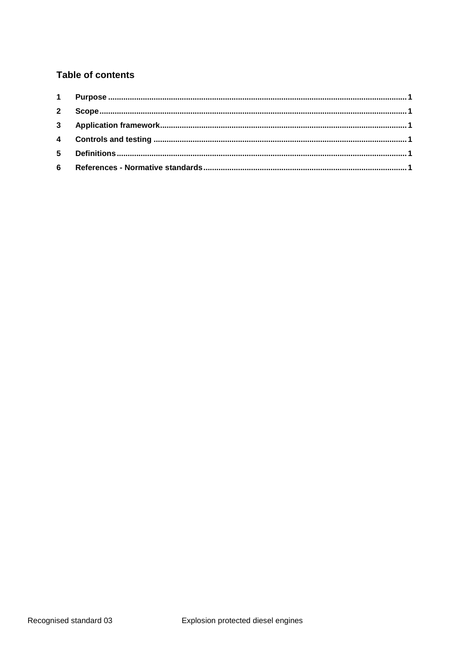### **Table of contents**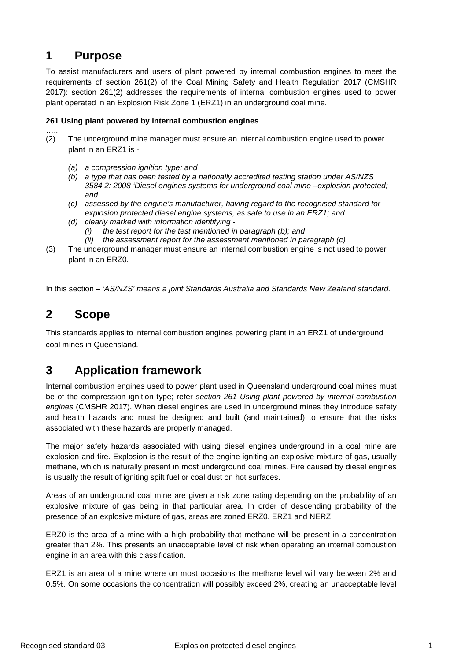### <span id="page-4-0"></span>**1 Purpose**

To assist manufacturers and users of plant powered by internal combustion engines to meet the requirements of section 261(2) of the Coal Mining Safety and Health Regulation 2017 (CMSHR 2017): section 261(2) addresses the requirements of internal combustion engines used to power plant operated in an Explosion Risk Zone 1 (ERZ1) in an underground coal mine.

### **261 Using plant powered by internal combustion engines**

- ….. (2) The underground mine manager must ensure an internal combustion engine used to power plant in an ERZ1 is -
	- *(a) a compression ignition type; and*
	- *(b) a type that has been tested by a nationally accredited testing station under AS/NZS 3584.2: 2008 'Diesel engines systems for underground coal mine –explosion protected; and*
	- *(c) assessed by the engine's manufacturer, having regard to the recognised standard for explosion protected diesel engine systems, as safe to use in an ERZ1; and*
	- *(d) clearly marked with information identifying -*
		- *(i) the test report for the test mentioned in paragraph (b); and*
		- *(ii) the assessment report for the assessment mentioned in paragraph (c)*
- (3) The underground manager must ensure an internal combustion engine is not used to power plant in an ERZ0.

<span id="page-4-1"></span>In this section – '*AS/NZS' means a joint Standards Australia and Standards New Zealand standard.*

## **2 Scope**

This standards applies to internal combustion engines powering plant in an ERZ1 of underground coal mines in Queensland.

## <span id="page-4-2"></span>**3 Application framework**

Internal combustion engines used to power plant used in Queensland underground coal mines must be of the compression ignition type; refer *section 261 Using plant powered by internal combustion engines* (CMSHR 2017). When diesel engines are used in underground mines they introduce safety and health hazards and must be designed and built (and maintained) to ensure that the risks associated with these hazards are properly managed.

The major safety hazards associated with using diesel engines underground in a coal mine are explosion and fire. Explosion is the result of the engine igniting an explosive mixture of gas, usually methane, which is naturally present in most underground coal mines. Fire caused by diesel engines is usually the result of igniting spilt fuel or coal dust on hot surfaces.

Areas of an underground coal mine are given a risk zone rating depending on the probability of an explosive mixture of gas being in that particular area. In order of descending probability of the presence of an explosive mixture of gas, areas are zoned ERZ0, ERZ1 and NERZ.

ERZ0 is the area of a mine with a high probability that methane will be present in a concentration greater than 2%. This presents an unacceptable level of risk when operating an internal combustion engine in an area with this classification.

ERZ1 is an area of a mine where on most occasions the methane level will vary between 2% and 0.5%. On some occasions the concentration will possibly exceed 2%, creating an unacceptable level